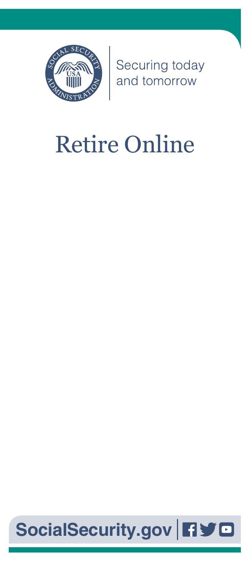

Securing today<br>and tomorrow

# Retire Online

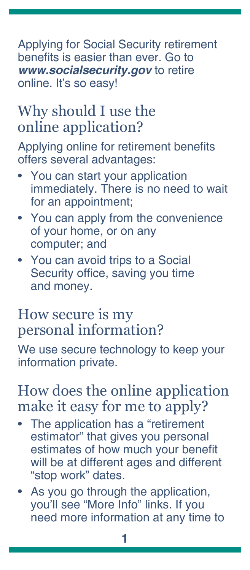Applying for Social Security retirement benefits is easier than ever. Go to *[www.socialsecurity.gov](http://www.ssa.gov)* to retire online. It's so easy!

#### Why should I use the online application?

Applying online for retirement benefits offers several advantages:

- You can start your application immediately. There is no need to wait for an appointment;
- You can apply from the convenience of your home, or on any computer; and
- You can avoid trips to a Social Security office, saving you time and money.

#### How secure is my personal information?

We use secure technology to keep your information private.

#### How does the online application make it easy for me to apply?

- The application has a "retirement estimator" that gives you personal estimates of how much your benefit will be at different ages and different "stop work" dates.
- As you go through the application, you'll see "More Info" links. If you need more information at any time to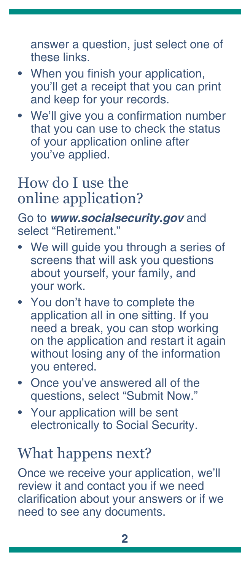answer a question, just select one of these links.

- When you finish your application, you'll get a receipt that you can print and keep for your records.
- We'll give you a confirmation number that you can use to check the status of your application online after you've applied.

### How do I use the online application?

Go to *[www.socialsecurity.gov](http://www.ssa.gov)* and select "Retirement."

- We will guide you through a series of screens that will ask you questions about yourself, your family, and your work.
- You don't have to complete the application all in one sitting. If you need a break, you can stop working on the application and restart it again without losing any of the information you entered.
- Once you've answered all of the questions, select "Submit Now."
- Your application will be sent electronically to Social Security.

### What happens next?

Once we receive your application, we'll review it and contact you if we need clarification about your answers or if we need to see any documents.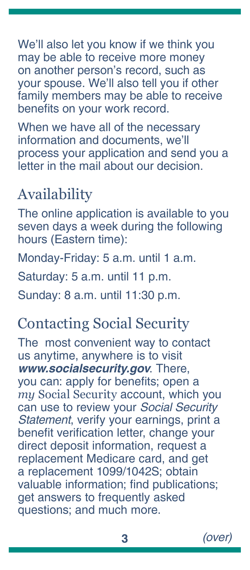We'll also let you know if we think you may be able to receive more money on another person's record, such as your spouse. We'll also tell you if other family members may be able to receive benefits on your work record.

When we have all of the necessary information and documents, we'll process your application and send you a letter in the mail about our decision.

# Availability

The online application is available to you seven days a week during the following hours (Eastern time):

Monday-Friday: 5 a.m. until 1 a.m.

Saturday: 5 a.m. until 11 p.m.

Sunday: 8 a.m. until 11:30 p.m.

## Contacting Social Security

The most convenient way to contact us anytime, anywhere is to visit *[www.socialsecurity.gov](http://www.socialsecurity.gov)*. There, you can: apply for benefits; open a *my* [Social Security](https://www.socialsecurity.gov/myaccount/) account, which you can use to review your *Social Security [Statement](https://www.ssa.gov/myaccount/statement.html)*, verify your earnings, print a benefit verification letter, change your direct deposit information, request a replacement Medicare card, and get a replacement [1099/1042S](https://faq.ssa.gov/link/portal/34011/34019/Article/3706/How-can-I-get-a-form-SSA-1099-1042S-Social-Security-Benefit-Statement?URL=/apps6z/i1099/main.html); obtain valuable information; [find publications](https://www.socialsecurity.gov/pubs/); [get answers to frequently asked](https://faq.ssa.gov/)  [questions](https://faq.ssa.gov/); and much more.

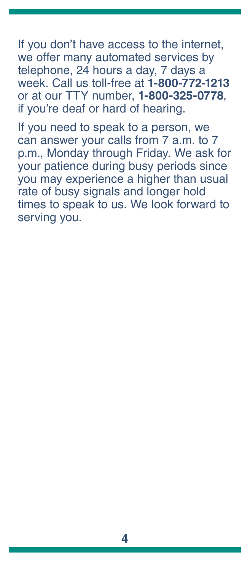If you don't have access to the internet, we offer many automated services by telephone, 24 hours a day, 7 days a week. Call us toll-free at **1-800-772-1213** or at our TTY number, **1-800-325-0778**, if you're deaf or hard of hearing.

If you need to speak to a person, we can answer your calls from 7 a.m. to 7 p.m., Monday through Friday. We ask for your patience during busy periods since you may experience a higher than usual rate of busy signals and longer hold times to speak to us. We look forward to serving you.